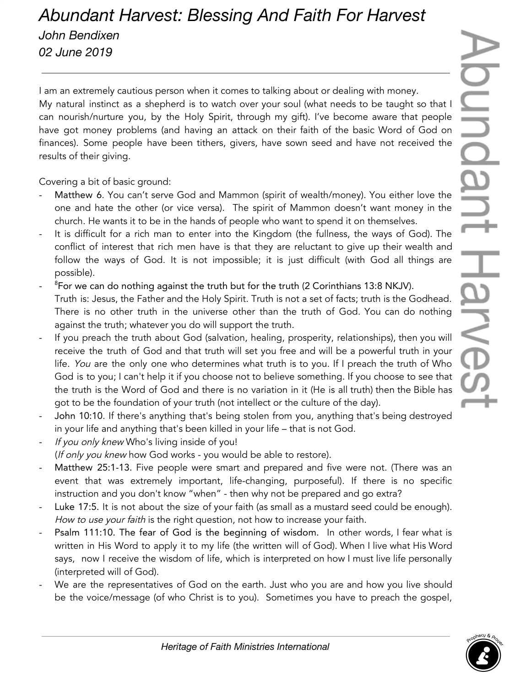## *Abundant Harvest: Blessing And Faith For Harvest John Bendixen 02 June 2019*

I am an extremely cautious person when it comes to talking about or dealing with money. My natural instinct as a shepherd is to watch over your soul (what needs to be taught so that I can nourish/nurture you, by the Holy Spirit, through my gift). I've become aware that people have got money problems (and having an attack on their faith of the basic Word of God on finances). Some people have been tithers, givers, have sown seed and have not received the results of their giving.

Covering a bit of basic ground:

- Matthew 6. You can't serve God and Mammon (spirit of wealth/money). You either love the one and hate the other (or vice versa). The spirit of Mammon doesn't want money in the church. He wants it to be in the hands of people who want to spend it on themselves.
- It is difficult for a rich man to enter into the Kingdom (the fullness, the ways of God). The conflict of interest that rich men have is that they are reluctant to give up their wealth and follow the ways of God. It is not impossible; it is just difficult (with God all things are possible).
- <sup>8</sup>For we can do nothing against the truth but for the truth (2 Corinthians 13:8 NKJV). Truth is: Jesus, the Father and the Holy Spirit. Truth is not a set of facts; truth is the Godhead. There is no other truth in the universe other than the truth of God. You can do nothing against the truth; whatever you do will support the truth.
- If you preach the truth about God (salvation, healing, prosperity, relationships), then you will receive the truth of God and that truth will set you free and will be a powerful truth in your life. You are the only one who determines what truth is to you. If I preach the truth of Who God is to you; I can't help it if you choose not to believe something. If you choose to see that the truth is the Word of God and there is no variation in it (He is all truth) then the Bible has got to be the foundation of your truth (not intellect or the culture of the day).
- John 10:10. If there's anything that's being stolen from you, anything that's being destroyed in your life and anything that's been killed in your life – that is not God.
- If you only knew Who's living inside of you! (If only you knew how God works - you would be able to restore).
- Matthew 25:1-13. Five people were smart and prepared and five were not. (There was an event that was extremely important, life-changing, purposeful). If there is no specific instruction and you don't know "when" - then why not be prepared and go extra?
- Luke 17:5. It is not about the size of your faith (as small as a mustard seed could be enough). How to use your faith is the right question, not how to increase your faith.
- Psalm 111:10. The fear of God is the beginning of wisdom. In other words, I fear what is written in His Word to apply it to my life (the written will of God). When I live what His Word says, now I receive the wisdom of life, which is interpreted on how I must live life personally (interpreted will of God).
- We are the representatives of God on the earth. Just who you are and how you live should be the voice/message (of who Christ is to you). Sometimes you have to preach the gospel,

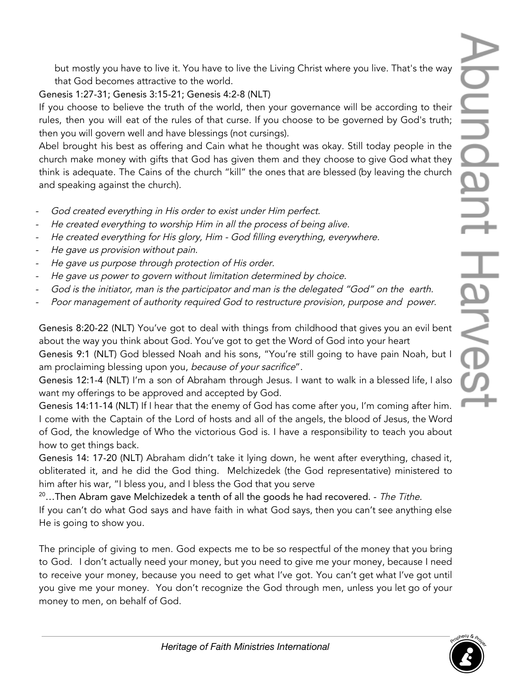but mostly you have to live it. You have to live the Living Christ where you live. That's the way that God becomes attractive to the world.

Genesis 1:27-31; Genesis 3:15-21; Genesis 4:2-8 (NLT)

If you choose to believe the truth of the world, then your governance will be according to their rules, then you will eat of the rules of that curse. If you choose to be governed by God's truth; then you will govern well and have blessings (not cursings).

Abel brought his best as offering and Cain what he thought was okay. Still today people in the church make money with gifts that God has given them and they choose to give God what they think is adequate. The Cains of the church "kill" the ones that are blessed (by leaving the church and speaking against the church).

- -God created everything in His order to exist under Him perfect.
- -He created everything to worship Him in all the process of being alive.
- -He created everything for His glory, Him - God filling everything, everywhere.
- -He gave us provision without pain.
- -He gave us purpose through protection of His order.
- -He gave us power to govern without limitation determined by choice.
- -God is the initiator, man is the participator and man is the delegated "God" on the earth.
- -Poor management of authority required God to restructure provision, purpose and power.

Genesis 8:20-22 (NLT) You've got to deal with things from childhood that gives you an evil bent about the way you think about God. You've got to get the Word of God into your heart

Genesis 9:1 (NLT) God blessed Noah and his sons, "You're still going to have pain Noah, but I am proclaiming blessing upon you, because of your sacrifice".

Genesis 12:1-4 (NLT) I'm a son of Abraham through Jesus. I want to walk in a blessed life, I also want my offerings to be approved and accepted by God.

Genesis 14:11-14 (NLT) If I hear that the enemy of God has come after you, I'm coming after him. I come with the Captain of the Lord of hosts and all of the angels, the blood of Jesus, the Word of God, the knowledge of Who the victorious God is. I have a responsibility to teach you about how to get things back.

Genesis 14: 17-20 (NLT) Abraham didn't take it lying down, he went after everything, chased it, obliterated it, and he did the God thing. Melchizedek (the God representative) ministered to him after his war, "I bless you, and I bless the God that you serve

 $20...$ Then Abram gave Melchizedek a tenth of all the goods he had recovered. - The Tithe. If you can't do what God says and have faith in what God says, then you can't see anything else He is going to show you.

The principle of giving to men. God expects me to be so respectful of the money that you bring to God. I don't actually need your money, but you need to give me your money, because I need to receive your money, because you need to get what I've got. You can't get what I've got until you give me your money. You don't recognize the God through men, unless you let go of your money to men, on behalf of God.